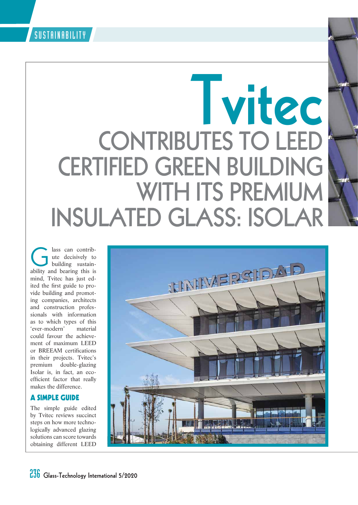SUSTAINABILITY

## **Tvitec CONTRIBUTES TO LEED CERTIFIED GREEN BUILDING WITH ITS PREMIUM INSULATED GLASS: ISOLAR**

all also can contribute decisively to building sustainability and bearing this is ute decisively to building sustainmind, Tvitec has just edited the first guide to provide building and promoting companies, architects and construction professionals with information as to which types of this 'ever-modern' material could favour the achievement of maximum LEED or BREEAM certifications in their projects. Tvitec's premium double-glazing Isolar is, in fact, an ecoefficient factor that really makes the difference.

## **A SIMPLE GUIDE**

The simple guide edited by Tvitec reviews succinct steps on how more technologically advanced glazing solutions can score towards obtaining different LEED